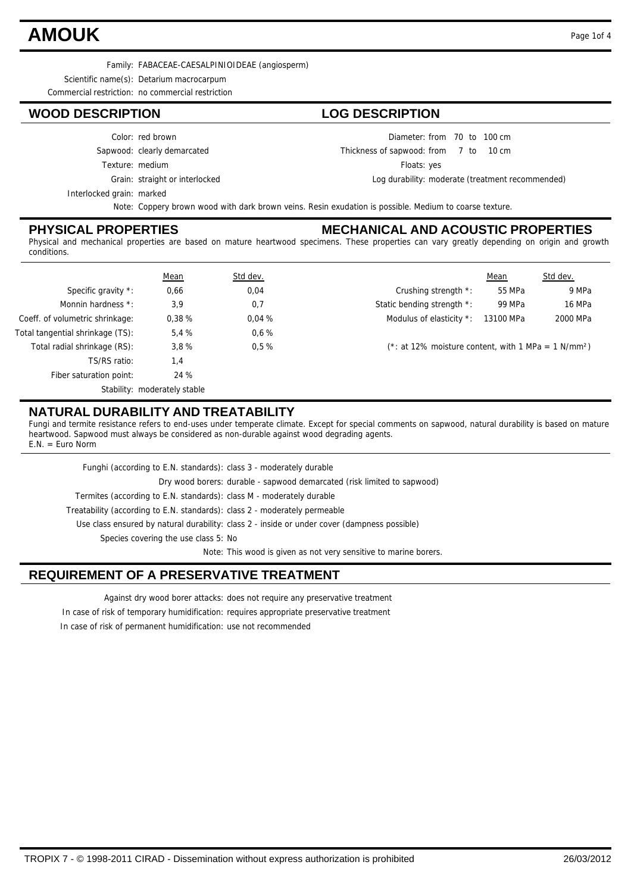### **AMOUK** Page 1of 4

Family: FABACEAE-CAESALPINIOIDEAE (angiosperm)

Scientific name(s): Detarium macrocarpum

Commercial restriction: no commercial restriction

#### **WOOD DESCRIPTION LOG DESCRIPTION**

#### Color: red brown

Sapwood: clearly demarcated

Texture: medium

Grain: straight or interlocked

Interlocked grain: marked

Note: Coppery brown wood with dark brown veins. Resin exudation is possible. Medium to coarse texture.

#### **PHYSICAL PROPERTIES**

#### **MECHANICAL AND ACOUSTIC PROPERTIES**

Diameter: from 70 to 100 cm

Floats: yes

Thickness of sapwood:

7 10

 $10 \text{ cm}$ 

Log durability: moderate (treatment recommended)

Physical and mechanical properties are based on mature heartwood specimens. These properties can vary greatly depending on origin and growth conditions.

|                                  | <b>Mean</b>                  | Std dev. | Mean<br>Std dev.                                                   |  |  |  |
|----------------------------------|------------------------------|----------|--------------------------------------------------------------------|--|--|--|
| Specific gravity *:              | 0,66                         | 0,04     | 55 MPa<br>9 MPa<br>Crushing strength *:                            |  |  |  |
| Monnin hardness *:               | 3,9                          | 0,7      | Static bending strength *:<br>99 MPa<br>16 MPa                     |  |  |  |
| Coeff. of volumetric shrinkage:  | 0.38%                        | 0.04%    | 2000 MPa<br>Modulus of elasticity *:<br>13100 MPa                  |  |  |  |
| Total tangential shrinkage (TS): | 5,4%                         | $0.6\%$  |                                                                    |  |  |  |
| Total radial shrinkage (RS):     | 3,8%                         | 0.5%     | $(*: at 12\%$ moisture content, with 1 MPa = 1 N/mm <sup>2</sup> ) |  |  |  |
| TS/RS ratio:                     | 1,4                          |          |                                                                    |  |  |  |
| Fiber saturation point:          | 24 %                         |          |                                                                    |  |  |  |
|                                  | Stability: moderately stable |          |                                                                    |  |  |  |

### **NATURAL DURABILITY AND TREATABILITY**

Fungi and termite resistance refers to end-uses under temperate climate. Except for special comments on sapwood, natural durability is based on mature heartwood. Sapwood must always be considered as non-durable against wood degrading agents. E.N. = Euro Norm

| Funghi (according to E.N. standards): class 3 - moderately durable         |                                                                                              |
|----------------------------------------------------------------------------|----------------------------------------------------------------------------------------------|
|                                                                            | Dry wood borers: durable - sapwood demarcated (risk limited to sapwood)                      |
| Termites (according to E.N. standards): class M - moderately durable       |                                                                                              |
| Treatability (according to E.N. standards): class 2 - moderately permeable |                                                                                              |
|                                                                            | Use class ensured by natural durability: class 2 - inside or under cover (dampness possible) |
| Species covering the use class 5: No                                       |                                                                                              |
|                                                                            | Note: This wood is given as not very sensitive to marine borers.                             |
|                                                                            |                                                                                              |

### **REQUIREMENT OF A PRESERVATIVE TREATMENT**

Against dry wood borer attacks: does not require any preservative treatment

In case of risk of temporary humidification: requires appropriate preservative treatment

In case of risk of permanent humidification: use not recommended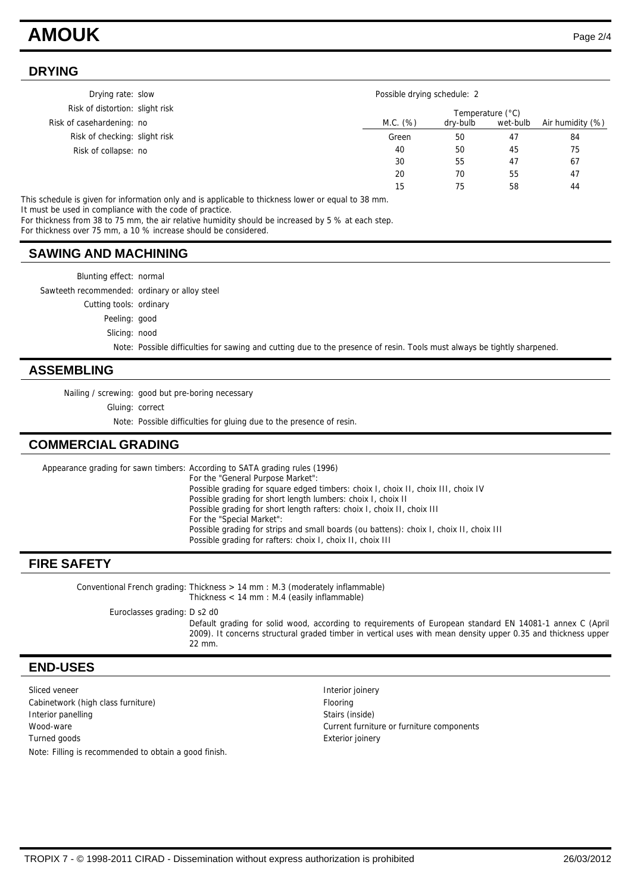### **AMOUK** Page 2/4

#### **DRYING**

| Drying rate: slow               |          | Possible drying schedule: 2 |          |                  |  |
|---------------------------------|----------|-----------------------------|----------|------------------|--|
| Risk of distortion: slight risk |          | Temperature (°C)            |          |                  |  |
| Risk of casehardening: no       | M.C. (%) | dry-bulb                    | wet-bulb | Air humidity (%) |  |
| Risk of checking: slight risk   | Green    | 50                          | 47       | 84               |  |
| Risk of collapse: no            | 40       | 50                          | 45       | 75               |  |
|                                 | 30       | 55                          | 47       | 67               |  |
|                                 | 20       | 70                          | 55       | 47               |  |
|                                 | 15       | 75                          | 58       | 44               |  |

This schedule is given for information only and is applicable to thickness lower or equal to 38 mm. It must be used in compliance with the code of practice.

For thickness from 38 to 75 mm, the air relative humidity should be increased by 5 % at each step.

For thickness over 75 mm, a 10 % increase should be considered.

#### **SAWING AND MACHINING**

Blunting effect: normal

Sawteeth recommended: ordinary or alloy steel

Cutting tools: ordinary

Peeling: good

Slicing: nood

Note: Possible difficulties for sawing and cutting due to the presence of resin. Tools must always be tightly sharpened.

#### **ASSEMBLING**

Nailing / screwing: good but pre-boring necessary

Gluing: correct

Note: Possible difficulties for gluing due to the presence of resin.

#### **COMMERCIAL GRADING**

Appearance grading for sawn timbers: According to SATA grading rules (1996) For the "General Purpose Market": Possible grading for square edged timbers: choix I, choix II, choix III, choix IV Possible grading for short length lumbers: choix I, choix II Possible grading for short length rafters: choix I, choix II, choix III For the "Special Market": Possible grading for strips and small boards (ou battens): choix I, choix II, choix III Possible grading for rafters: choix I, choix II, choix III

#### **FIRE SAFETY**

Conventional French grading: Thickness > 14 mm : M.3 (moderately inflammable) Thickness < 14 mm : M.4 (easily inflammable)

Euroclasses grading: D s2 d0

Default grading for solid wood, according to requirements of European standard EN 14081-1 annex C (April 2009). It concerns structural graded timber in vertical uses with mean density upper 0.35 and thickness upper 22 mm.

#### **END-USES**

Sliced veneer **Interior images** Interior joinery Cabinetwork (high class furniture) Flooring Interior panelling Stairs (inside) Wood-ware Current furniture or furniture components Turned goods **Exterior joinery** Exterior joinery Note: Filling is recommended to obtain a good finish.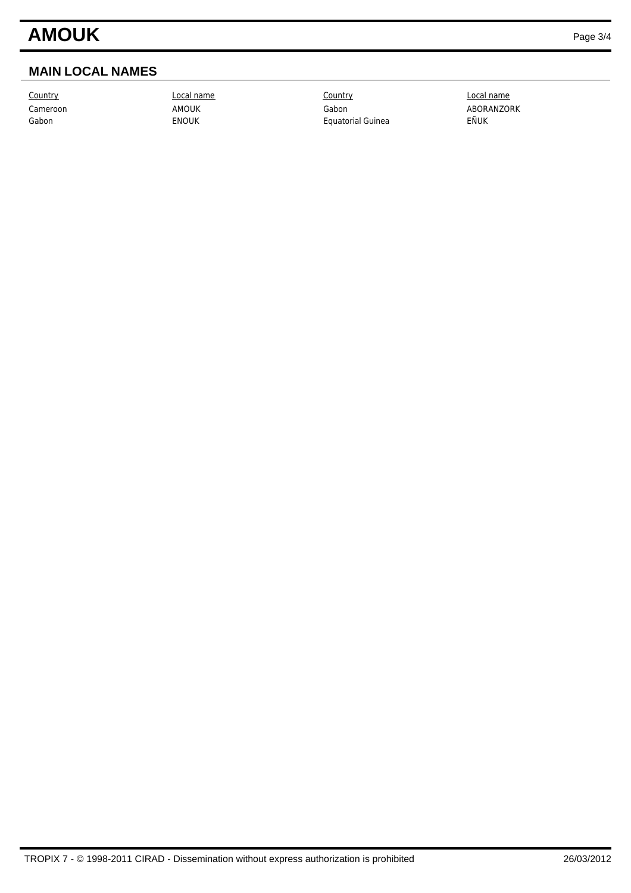## **AMOUK** Page 3/4

### **MAIN LOCAL NAMES**

Country Local name Country Local name Cameroon AMOUK AMOUK Gabon Gabon ABORANZORK Gabon **ENOUK** ENOUK Equatorial Guinea EÑUK